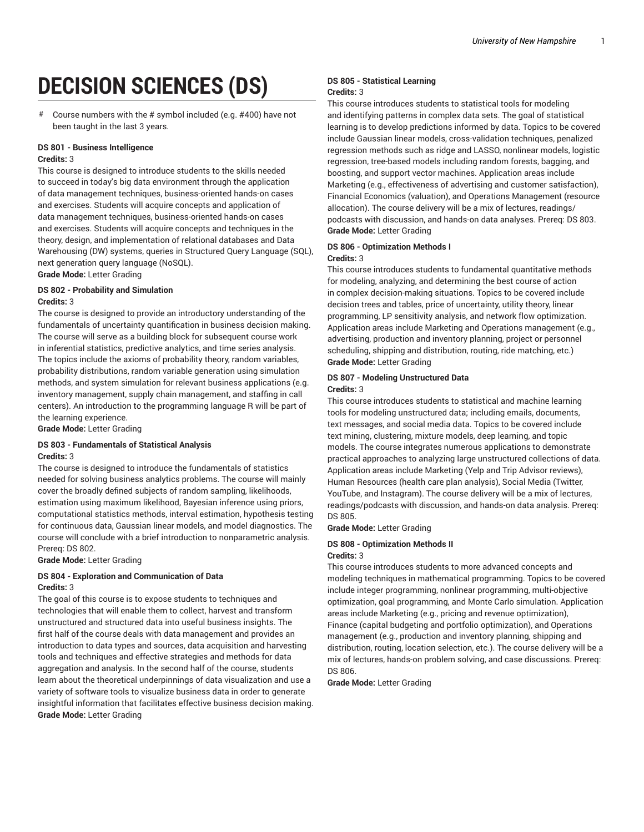# **DECISION SCIENCES (DS)**

# Course numbers with the # symbol included (e.g. #400) have not been taught in the last 3 years.

#### **DS 801 - Business Intelligence Credits:** 3

This course is designed to introduce students to the skills needed to succeed in today's big data environment through the application of data management techniques, business-oriented hands-on cases and exercises. Students will acquire concepts and application of data management techniques, business-oriented hands-on cases and exercises. Students will acquire concepts and techniques in the theory, design, and implementation of relational databases and Data Warehousing (DW) systems, queries in Structured Query Language (SQL), next generation query language (NoSQL).

**Grade Mode:** Letter Grading

#### **DS 802 - Probability and Simulation Credits:** 3

The course is designed to provide an introductory understanding of the fundamentals of uncertainty quantification in business decision making. The course will serve as a building block for subsequent course work in inferential statistics, predictive analytics, and time series analysis. The topics include the axioms of probability theory, random variables, probability distributions, random variable generation using simulation methods, and system simulation for relevant business applications (e.g. inventory management, supply chain management, and staffing in call centers). An introduction to the programming language R will be part of the learning experience.

**Grade Mode:** Letter Grading

#### **DS 803 - Fundamentals of Statistical Analysis Credits:** 3

The course is designed to introduce the fundamentals of statistics needed for solving business analytics problems. The course will mainly cover the broadly defined subjects of random sampling, likelihoods, estimation using maximum likelihood, Bayesian inference using priors, computational statistics methods, interval estimation, hypothesis testing for continuous data, Gaussian linear models, and model diagnostics. The course will conclude with a brief introduction to nonparametric analysis. Prereq: DS 802.

**Grade Mode:** Letter Grading

#### **DS 804 - Exploration and Communication of Data Credits:** 3

The goal of this course is to expose students to techniques and technologies that will enable them to collect, harvest and transform unstructured and structured data into useful business insights. The first half of the course deals with data management and provides an introduction to data types and sources, data acquisition and harvesting tools and techniques and effective strategies and methods for data aggregation and analysis. In the second half of the course, students learn about the theoretical underpinnings of data visualization and use a variety of software tools to visualize business data in order to generate insightful information that facilitates effective business decision making. **Grade Mode:** Letter Grading

#### **DS 805 - Statistical Learning Credits:** 3

This course introduces students to statistical tools for modeling and identifying patterns in complex data sets. The goal of statistical learning is to develop predictions informed by data. Topics to be covered include Gaussian linear models, cross-validation techniques, penalized regression methods such as ridge and LASSO, nonlinear models, logistic regression, tree-based models including random forests, bagging, and boosting, and support vector machines. Application areas include Marketing (e.g., effectiveness of advertising and customer satisfaction), Financial Economics (valuation), and Operations Management (resource allocation). The course delivery will be a mix of lectures, readings/ podcasts with discussion, and hands-on data analyses. Prereq: DS 803. **Grade Mode:** Letter Grading

#### **DS 806 - Optimization Methods I**

#### **Credits:** 3

This course introduces students to fundamental quantitative methods for modeling, analyzing, and determining the best course of action in complex decision-making situations. Topics to be covered include decision trees and tables, price of uncertainty, utility theory, linear programming, LP sensitivity analysis, and network flow optimization. Application areas include Marketing and Operations management (e.g., advertising, production and inventory planning, project or personnel scheduling, shipping and distribution, routing, ride matching, etc.) **Grade Mode:** Letter Grading

#### **DS 807 - Modeling Unstructured Data Credits:** 3

This course introduces students to statistical and machine learning tools for modeling unstructured data; including emails, documents, text messages, and social media data. Topics to be covered include text mining, clustering, mixture models, deep learning, and topic models. The course integrates numerous applications to demonstrate practical approaches to analyzing large unstructured collections of data. Application areas include Marketing (Yelp and Trip Advisor reviews), Human Resources (health care plan analysis), Social Media (Twitter, YouTube, and Instagram). The course delivery will be a mix of lectures, readings/podcasts with discussion, and hands-on data analysis. Prereq: DS 805.

**Grade Mode:** Letter Grading

## **DS 808 - Optimization Methods II**

**Credits:** 3 This course introduces students to more advanced concepts and modeling techniques in mathematical programming. Topics to be covered include integer programming, nonlinear programming, multi-objective optimization, goal programming, and Monte Carlo simulation. Application areas include Marketing (e.g., pricing and revenue optimization), Finance (capital budgeting and portfolio optimization), and Operations management (e.g., production and inventory planning, shipping and distribution, routing, location selection, etc.). The course delivery will be a mix of lectures, hands-on problem solving, and case discussions. Prereq: DS 806.

**Grade Mode:** Letter Grading